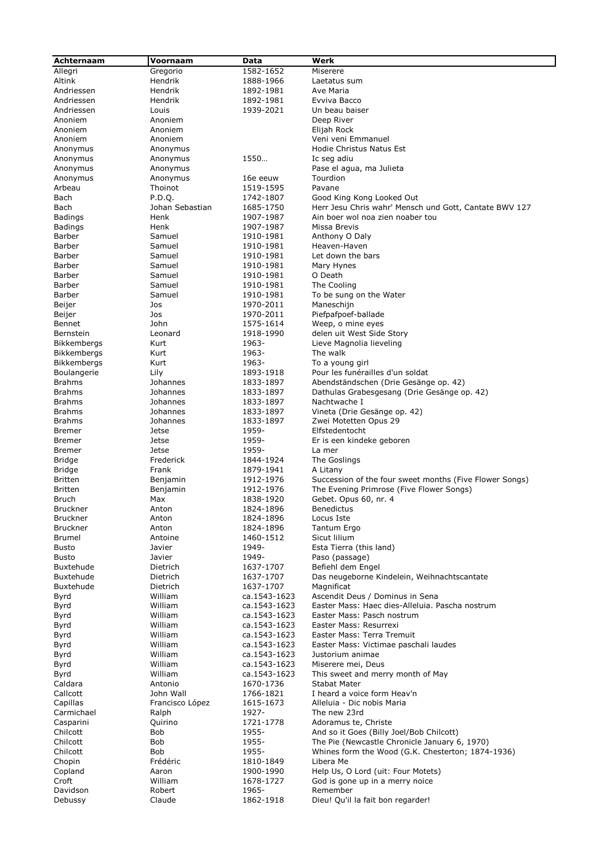| Achternaam                    | Voornaam             | Data                      | Werk                                                                |
|-------------------------------|----------------------|---------------------------|---------------------------------------------------------------------|
| Allegri                       | Gregorio             | 1582-1652                 | Miserere                                                            |
| Altink                        | Hendrik              | 1888-1966                 | Laetatus sum                                                        |
| Andriessen                    | Hendrik              | 1892-1981                 | Ave Maria                                                           |
| Andriessen                    | Hendrik              | 1892-1981                 | Evviva Bacco                                                        |
| Andriessen                    | Louis                | 1939-2021                 | Un beau baiser                                                      |
| Anoniem                       | Anoniem              |                           | Deep River                                                          |
| Anoniem                       | Anoniem              |                           | Elijah Rock                                                         |
| Anoniem                       | Anoniem              |                           | Veni veni Emmanuel                                                  |
| Anonymus                      | Anonymus             | 1550                      | Hodie Christus Natus Est                                            |
| Anonymus<br>Anonymus          | Anonymus<br>Anonymus |                           | Ic seg adiu<br>Pase el agua, ma Julieta                             |
| Anonymus                      | Anonymus             | 16e eeuw                  | Tourdion                                                            |
| Arbeau                        | Thoinot              | 1519-1595                 | Pavane                                                              |
| Bach                          | P.D.O.               | 1742-1807                 | Good King Kong Looked Out                                           |
| Bach                          | Johan Sebastian      | 1685-1750                 | Herr Jesu Chris wahr' Mensch und Gott, Cantate BWV 127              |
| Badings                       | Henk                 | 1907-1987                 | Ain boer wol noa zien noaber tou                                    |
| <b>Badings</b>                | Henk                 | 1907-1987                 | Missa Brevis                                                        |
| Barber                        | Samuel               | 1910-1981                 | Anthony O Daly                                                      |
| Barber                        | Samuel               | 1910-1981                 | Heaven-Haven                                                        |
| Barber<br>Barber              | Samuel<br>Samuel     | 1910-1981<br>1910-1981    | Let down the bars<br>Mary Hynes                                     |
| Barber                        | Samuel               | 1910-1981                 | O Death                                                             |
| Barber                        | Samuel               | 1910-1981                 | The Cooling                                                         |
| Barber                        | Samuel               | 1910-1981                 | To be sung on the Water                                             |
| Beijer                        | Jos                  | 1970-2011                 | Maneschijn                                                          |
| Beijer                        | Jos                  | 1970-2011                 | Piefpafpoef-ballade                                                 |
| Bennet                        | John                 | 1575-1614                 | Weep, o mine eyes                                                   |
| Bernstein                     | Leonard              | 1918-1990                 | delen uit West Side Story                                           |
| <b>Bikkembergs</b>            | Kurt                 | 1963-                     | Lieve Magnolia lieveling                                            |
| <b>Bikkembergs</b>            | Kurt                 | 1963-                     | The walk                                                            |
| Bikkembergs<br>Boulangerie    | Kurt<br>Lily         | 1963-<br>1893-1918        | To a young girl<br>Pour les funérailles d'un soldat                 |
| <b>Brahms</b>                 | Johannes             | 1833-1897                 | Abendständschen (Drie Gesänge op. 42)                               |
| <b>Brahms</b>                 | Johannes             | 1833-1897                 | Dathulas Grabesgesang (Drie Gesänge op. 42)                         |
| <b>Brahms</b>                 | Johannes             | 1833-1897                 | Nachtwache I                                                        |
| <b>Brahms</b>                 | Johannes             | 1833-1897                 | Vineta (Drie Gesänge op. 42)                                        |
| <b>Brahms</b>                 | Johannes             | 1833-1897                 | Zwei Motetten Opus 29                                               |
| <b>Bremer</b>                 | Jetse                | 1959-                     | Elfstedentocht                                                      |
| <b>Bremer</b>                 | Jetse                | 1959-                     | Er is een kindeke geboren                                           |
| <b>Bremer</b>                 | Jetse                | 1959-                     | La mer                                                              |
| Bridge                        | Frederick            | 1844-1924                 | The Goslings                                                        |
| Bridge<br><b>Britten</b>      | Frank<br>Benjamin    | 1879-1941<br>1912-1976    | A Litany<br>Succession of the four sweet months (Five Flower Songs) |
| <b>Britten</b>                | Benjamin             | 1912-1976                 | The Evening Primrose (Five Flower Songs)                            |
| Bruch                         | Max                  | 1838-1920                 | Gebet. Opus 60, nr. 4                                               |
| <b>Bruckner</b>               | Anton                | 1824-1896                 | Benedictus                                                          |
| Bruckner                      | Anton                | 1824-1896                 | Locus Iste                                                          |
| <b>Bruckner</b>               | Anton                | 1824-1896                 | Tantum Ergo                                                         |
| Brumel                        | Antoine              | 1460-1512                 | Sicut lilium                                                        |
| <b>Busto</b>                  | Javier               | 1949-                     | Esta Tierra (this land)                                             |
| <b>Busto</b>                  | Javier               | 1949-                     | Paso (passage)                                                      |
| Buxtehude<br><b>Buxtehude</b> | Dietrich<br>Dietrich | 1637-1707<br>1637-1707    | Befiehl dem Engel<br>Das neugeborne Kindelein, Weihnachtscantate    |
| Buxtehude                     | Dietrich             | 1637-1707                 | Magnificat                                                          |
| Byrd                          | William              | ca.1543-1623              | Ascendit Deus / Dominus in Sena                                     |
| Byrd                          | William              | ca.1543-1623              | Easter Mass: Haec dies-Alleluia. Pascha nostrum                     |
| Byrd                          | William              | ca.1543-1623              | Easter Mass: Pasch nostrum                                          |
| Byrd                          | William              | ca.1543-1623              | Easter Mass: Resurrexi                                              |
| Byrd                          | William              | ca.1543-1623              | Easter Mass: Terra Tremuit                                          |
| Byrd                          | William              | ca.1543-1623              | Easter Mass: Victimae paschali laudes                               |
| Byrd                          | William              | ca.1543-1623              | Justorium animae                                                    |
| Byrd                          | William              | ca.1543-1623              | Miserere mei, Deus                                                  |
| Byrd<br>Caldara               | William<br>Antonio   | ca.1543-1623<br>1670-1736 | This sweet and merry month of May<br><b>Stabat Mater</b>            |
| Callcott                      | John Wall            | 1766-1821                 | I heard a voice form Heav'n                                         |
| Capillas                      | Francisco López      | 1615-1673                 | Alleluia - Dic nobis Maria                                          |
| Carmichael                    | Ralph                | 1927-                     | The new 23rd                                                        |
| Casparini                     | Quirino              | 1721-1778                 | Adoramus te, Christe                                                |
| Chilcott                      | Bob                  | 1955-                     | And so it Goes (Billy Joel/Bob Chilcott)                            |
| Chilcott                      | Bob                  | 1955-                     | The Pie (Newcastle Chronicle January 6, 1970)                       |
| Chilcott                      | Bob                  | 1955-                     | Whines form the Wood (G.K. Chesterton; 1874-1936)                   |
| Chopin                        | Frédéric             | 1810-1849                 | Libera Me                                                           |
| Copland                       | Aaron                | 1900-1990                 | Help Us, O Lord (uit: Four Motets)                                  |
| Croft<br>Davidson             | William<br>Robert    | 1678-1727<br>1965-        | God is gone up in a merry noice<br>Remember                         |
| Debussy                       | Claude               | 1862-1918                 | Dieu! Qu'il la fait bon regarder!                                   |
|                               |                      |                           |                                                                     |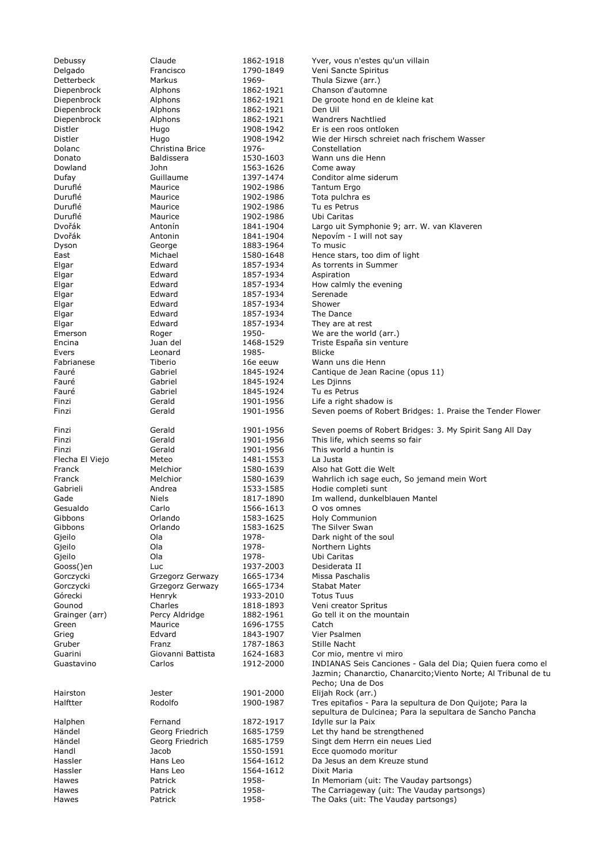| Debussy         | Claude             | 1862-1918              | Yver, vous n'estes qu'un villain                                                    |
|-----------------|--------------------|------------------------|-------------------------------------------------------------------------------------|
| Delgado         | Francisco          | 1790-1849              | Veni Sancte Spiritus                                                                |
| Detterbeck      | Markus             | 1969-                  | Thula Sizwe (arr.)                                                                  |
| Diepenbrock     | Alphons            | 1862-1921              | Chanson d'automne                                                                   |
| Diepenbrock     | Alphons            | 1862-1921              | De groote hond en de kleine kat                                                     |
| Diepenbrock     | Alphons            | 1862-1921              | Den Uil                                                                             |
| Diepenbrock     | Alphons            | 1862-1921              | <b>Wandrers Nachtlied</b>                                                           |
| Distler         | Hugo               | 1908-1942              | Er is een roos ontloken                                                             |
| Distler         | Hugo               | 1908-1942              | Wie der Hirsch schreiet nach frischem Wasser                                        |
| Dolanc          | Christina Brice    | 1976-                  | Constellation                                                                       |
| Donato          | <b>Baldissera</b>  | 1530-1603              | Wann uns die Henn                                                                   |
| Dowland         | John               | 1563-1626              | Come away                                                                           |
| Dufay           | Guillaume          | 1397-1474              | Conditor alme siderum                                                               |
| Duruflé         | Maurice            | 1902-1986              | Tantum Ergo                                                                         |
| Duruflé         | Maurice            |                        | Tota pulchra es                                                                     |
| Duruflé         | Maurice            | 1902-1986<br>1902-1986 | Tu es Petrus                                                                        |
|                 |                    |                        |                                                                                     |
| Duruflé         | Maurice            | 1902-1986              | Ubi Caritas                                                                         |
| Dvořák          | Antonín            | 1841-1904              | Largo uit Symphonie 9; arr. W. van Klaveren                                         |
| Dvořák          | Antonin            | 1841-1904              | Nepovím - I will not say                                                            |
| Dyson           | George             | 1883-1964              | To music                                                                            |
| East            | Michael            | 1580-1648              | Hence stars, too dim of light                                                       |
| Elgar           | Edward             | 1857-1934              | As torrents in Summer                                                               |
| Elgar           | Edward             | 1857-1934              | Aspiration                                                                          |
| Elgar           | Edward             | 1857-1934              | How calmly the evening                                                              |
| Elgar           | Edward             | 1857-1934              | Serenade                                                                            |
| Elgar           | Edward             | 1857-1934              | Shower                                                                              |
| Elgar           | Edward             | 1857-1934              | The Dance                                                                           |
| Elgar           | Edward             | 1857-1934              | They are at rest                                                                    |
| Emerson         | Roger              | 1950-                  | We are the world (arr.)                                                             |
| Encina          | Juan del           | 1468-1529              | Triste España sin venture                                                           |
| Evers           | Leonard            | 1985-                  | <b>Blicke</b>                                                                       |
| Fabrianese      | Tiberio            | 16e eeuw               | Wann uns die Henn                                                                   |
| Fauré           | Gabriel            | 1845-1924              | Cantique de Jean Racine (opus 11)                                                   |
| Fauré           | Gabriel            | 1845-1924              | Les Djinns                                                                          |
| Fauré           | Gabriel            | 1845-1924              | Tu es Petrus                                                                        |
| Finzi           | Gerald             | 1901-1956              | Life a right shadow is                                                              |
| Finzi           | Gerald             | 1901-1956              | Seven poems of Robert Bridges: 1. Praise the Tender Flower                          |
|                 |                    |                        |                                                                                     |
| Finzi           | Gerald             | 1901-1956              | Seven poems of Robert Bridges: 3. My Spirit Sang All Day                            |
| Finzi           | Gerald             | 1901-1956              | This life, which seems so fair                                                      |
| Finzi           | Gerald             | 1901-1956              | This world a huntin is                                                              |
| Flecha El Viejo | Meteo              | 1481-1553              | La Justa                                                                            |
| Franck          | Melchior           | 1580-1639              | Also hat Gott die Welt                                                              |
| Franck          | Melchior           | 1580-1639              | Wahrlich ich sage euch, So jemand mein Wort                                         |
| Gabrieli        | Andrea             | 1533-1585              | Hodie completi sunt                                                                 |
| Gade            | Niels              | 1817-1890              | Im wallend, dunkelblauen Mantel                                                     |
| Gesualdo        | Carlo              | 1566-1613              | O vos omnes                                                                         |
| Gibbons         | Orlando            | 1583-1625              | <b>Holy Communion</b>                                                               |
| Gibbons         | Orlando            | 1583-1625              | The Silver Swan                                                                     |
| Gjeilo          | Ola                | 1978-                  | Dark night of the soul                                                              |
| Gjeilo          | Ola                | 1978-                  | Northern Lights                                                                     |
| Gjeilo          | Ola                | 1978-                  | Ubi Caritas                                                                         |
| Gooss()en       | Luc                | 1937-2003              | Desiderata II                                                                       |
| Gorczycki       | Grzegorz Gerwazy   | 1665-1734              | Missa Paschalis                                                                     |
| Gorczycki       | Grzegorz Gerwazy   | 1665-1734              | <b>Stabat Mater</b>                                                                 |
| Górecki         | Henryk             | 1933-2010              | <b>Totus Tuus</b>                                                                   |
| Gounod          | Charles            | 1818-1893              | Veni creator Spritus                                                                |
| Grainger (arr)  | Percy Aldridge     | 1882-1961              | Go tell it on the mountain                                                          |
| Green           | Maurice            | 1696-1755              | Catch                                                                               |
| Grieg           | Edvard             | 1843-1907              | Vier Psalmen                                                                        |
| Gruber          | Franz              | 1787-1863              | Stille Nacht                                                                        |
| Guarini         | Giovanni Battista  | 1624-1683              | Cor mio, mentre vi miro                                                             |
| Guastavino      | Carlos             | 1912-2000              | INDIANAS Seis Canciones - Gala del Dia; Quien fuera como el                         |
|                 |                    |                        | Jazmin; Chanarctio, Chanarcito; Viento Norte; Al Tribunal de tu                     |
|                 |                    |                        | Pecho; Una de Dos                                                                   |
| Hairston        | Jester             | 1901-2000              | Elijah Rock (arr.)                                                                  |
| Halftter        |                    | 1900-1987              | Tres epitafios - Para la sepultura de Don Quijote; Para la                          |
|                 |                    |                        |                                                                                     |
|                 | Rodolfo            |                        |                                                                                     |
|                 |                    |                        | sepultura de Dulcinea; Para la sepultara de Sancho Pancha                           |
| Halphen         | Fernand            | 1872-1917              | Idylle sur la Paix                                                                  |
| Händel          | Georg Friedrich    | 1685-1759              | Let thy hand be strengthened                                                        |
| Händel          | Georg Friedrich    | 1685-1759              | Singt dem Herrn ein neues Lied                                                      |
| Handl           | Jacob              | 1550-1591              | Ecce quomodo moritur                                                                |
| Hassler         | Hans Leo           | 1564-1612              | Da Jesus an dem Kreuze stund                                                        |
| Hassler         | Hans Leo           | 1564-1612              | Dixit Maria                                                                         |
| Hawes           | Patrick            | 1958-                  | In Memoriam (uit: The Vauday partsongs)                                             |
| Hawes<br>Hawes  | Patrick<br>Patrick | 1958-<br>1958-         | The Carriageway (uit: The Vauday partsongs)<br>The Oaks (uit: The Vauday partsongs) |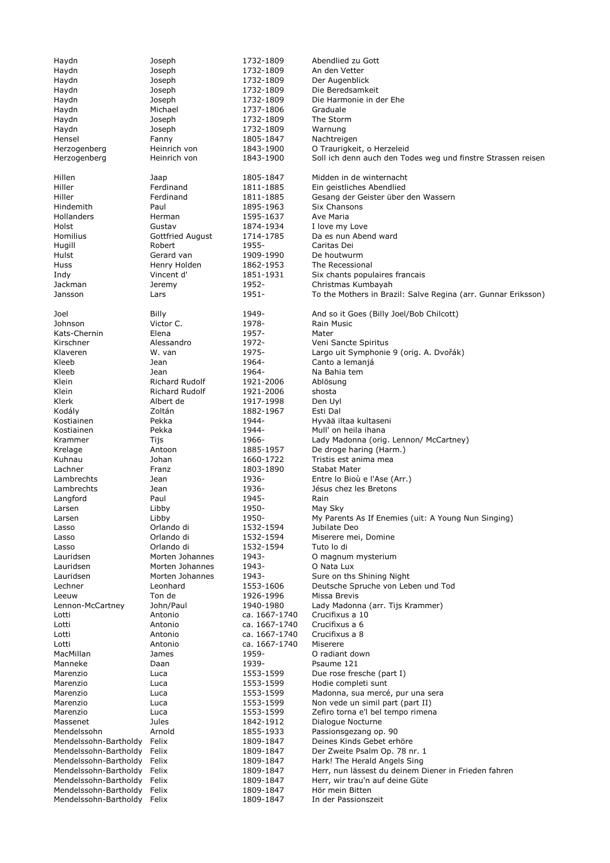Haydn Joseph 1732-1809 Abendlied zu Gott Haydn Joseph 1732-1809 An den Vetter Haydn Joseph 1732-1809 Der Augenblick Haydn Joseph 1732-1809 Die Beredsamkeit Haydn Joseph 1732-1809 Die Harmonie in der Ehe Haydn Michael 1737-1806 Graduale<br>
Haydn Joseph 1732-1809 The Storr Haydn **1732-1809** The Storm Haydn Joseph 1732-1809 Warnung Hensel Fanny 1805-1847 Nachtreigen Herzogenberg Heinrich von 1843-1900 O Traurigkeit, o Herzeleid Herzogenberg Heinrich von 1843-1900 Soll ich denn auch den Todes weg und finstre Strassen reisen Hillen Jaap 1805-1847 Midden in de winternacht Hiller Ferdinand 1811-1885 Ein geistliches Abendlied Hiller Ferdinand 1811-1885 Gesang der Geister über den Wassern<br>1895-1963 Six Chansons Paul 1895-1963 Six Chansons Hollanders Herman 1595-1637 Ave Maria Holst Gustav 1874-1934 I love my Love Homilius Gottfried August 1714-1785 Da es nun Abend ward Hugill Robert 1955- Caritas Dei Hulst Gerard van 1909-1990 De houtwurm Huss Henry Holden 1862-1953 The Recessional Indy Vincent d' 1851-1931 Six chants populaires francais Jackman Jeremy 1952- Christmas Kumbayah Jansson Lars 1951- To the Mothers in Brazil: Salve Regina (arr. Gunnar Eriksson) Joel Billy 1949- And so it Goes (Billy Joel/Bob Chilcott) Johnson Victor C. 1978- Rain Music Kats-Chernin Elena 1957- Mater Veni Sancte Spiritus Klaveren M. van 1975- Largo uit Symphonie 9 (orig. A. Dvořák) Kleeb Jean 1964- Canto a lemanjá Kleeb Jean 1964- Na Bahia tem Klein Richard Rudolf 1921-2006 Ablösung Klein Richard Rudolf 1921-2006 shosta Klerk Albert de 1917-1998 Den Uyl Kodály Zoltán 1882-1967 Esti Dal Hyvää iltaa kultaseni Kostiainen 1944- Mull' on heila ihana Krammer Tijs Tijs 1966- Lady Madonna (orig. Lennon/ McCartney) Krelage **Antoon** 1885-1957 De droge haring (Harm.) Kuhnau Johan 1660-1722 Tristis est anima mea Lachner Franz Franz 1803-1890 Stabat Mater Lambrechts Jean 1936- Entre lo Bioù e l'Ase (Arr.) Lambrechts Jean 1936- Jésus chez les Bretons Langford Paul Paul 1945- Rain Larsen Libby 1950- May Sky Larsen Libby 1950- My Parents As If Enemies (uit: A Young Nun Singing) Lasso Orlando di 1532-1594 Jubilate Deo Lasso Orlando di 1532-1594 Miserere mei, Domine Lasso Orlando di 1532-1594 Tuto lo di Lauridsen Morten Johannes 1943- O magnum mysterium Lauridsen Morten Johannes 1943- O Nata Lux Sure on ths Shining Night Lechner Leonhard 1553-1606 Deutsche Spruche von Leben und Tod Leeuw Ton de 1926-1996 Missa Brevis<br>
Lennon-McCartney John/Paul 1940-1980 Lady Madonr Lennon-McCartney John/Paul 1940-1980 Lady Madonna (arr. Tijs Krammer) Lotti Antonio ca. 1667-1740 Crucifixus a 10 Lotti Antonio ca. 1667-1740 Crucifixus a 6 Lotti Antonio ca. 1667-1740 Crucifixus a 8 Lotti **Antonio** ca. 1667-1740 MacMillan James 1959- O radiant down Manneke Daan 1939- Psaume 121 Marenzio Luca Luca 1553-1599 Due rose fresche (part I) Marenzio Luca 1553-1599 Hodie completi sunt Marenzio Luca 1553-1599 Madonna, sua mercé, pur una sera Marenzio Luca 1553-1599 Non vede un simil part (part II) Marenzio Luca 1553-1599 Zefiro torna e'l bel tempo rimena Massenet Jules 1842-1912 Dialogue Nocturne Mendelssohn Arnold 1855-1933 Passionsgezang op. 90 Mendelssohn-Bartholdy Felix 1809-1847 Deines Kinds Gebet erhöre Mendelssohn-Bartholdy Felix 1809-1847 Der Zweite Psalm Op. 78 nr. 1 Mendelssohn-Bartholdy Felix 1809-1847 Mendelssohn-Bartholdy Felix 1809-1847 Herr, nun lässest du deinem Diener in Frieden fahren<br>Mendelssohn-Bartholdy Felix 1809-1847 Herr, wir trau'n auf deine Güte Mendelssohn-Bartholdy Felix 1809-1847 Herr, wir trau'n auf deine Güte Mendelssohn-Bartholdy Felix 1809-1847 Hör mein Bitten Mendelssohn-Bartholdy Felix 1809-1847 In der Passionszeit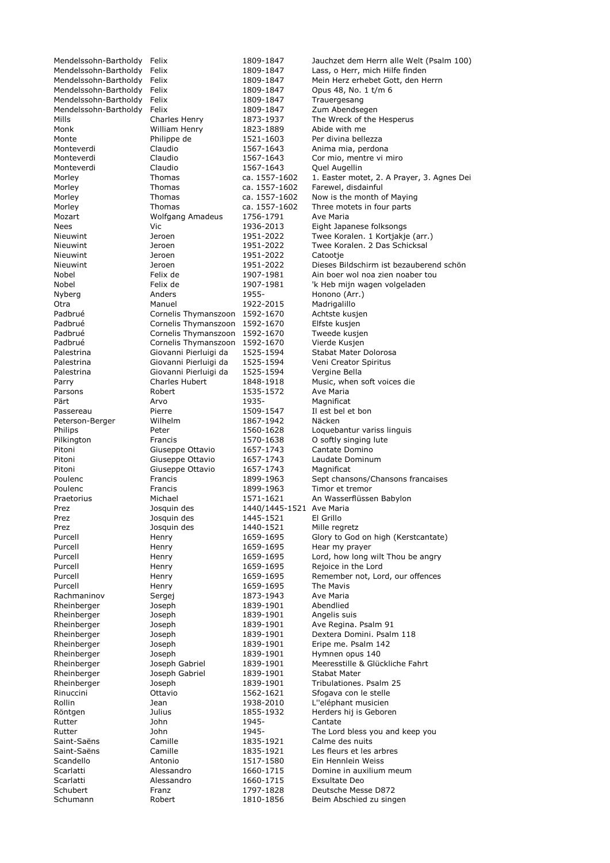| Mendelssohn-Bartholdy Felix |                                | 1809-1847      | Jauchzet dem Herrn alle Welt (Psalm 100)   |
|-----------------------------|--------------------------------|----------------|--------------------------------------------|
| Mendelssohn-Bartholdy       | Felix                          | 1809-1847      | Lass, o Herr, mich Hilfe finden            |
| Mendelssohn-Bartholdy       | Felix                          | 1809-1847      | Mein Herz erhebet Gott, den Herrn          |
| Mendelssohn-Bartholdy Felix |                                | 1809-1847      | Opus 48, No. 1 t/m 6                       |
| Mendelssohn-Bartholdy       | Felix                          | 1809-1847      | Trauergesang                               |
| Mendelssohn-Bartholdy       | Felix                          | 1809-1847      | Zum Abendsegen                             |
| Mills                       | Charles Henry                  | 1873-1937      | The Wreck of the Hesperus                  |
| Monk                        | William Henry                  | 1823-1889      | Abide with me                              |
| Monte                       | Philippe de                    | 1521-1603      | Per divina bellezza                        |
| Monteverdi                  | Claudio                        | 1567-1643      | Anima mia, perdona                         |
| Monteverdi                  | Claudio                        | 1567-1643      | Cor mio, mentre vi miro                    |
| Monteverdi                  | Claudio                        | 1567-1643      | Quel Augellin                              |
| Morley                      | Thomas                         | ca. 1557-1602  | 1. Easter motet, 2. A Prayer, 3. Agnes Dei |
| Morley                      | Thomas                         | ca. 1557-1602  | Farewel, disdainful                        |
| Morley                      | Thomas                         | ca. 1557-1602  | Now is the month of Maying                 |
| Morley                      | Thomas                         | ca. 1557-1602  | Three motets in four parts                 |
| Mozart                      | <b>Wolfgang Amadeus</b>        | 1756-1791      | Ave Maria                                  |
| Nees                        | Vic                            | 1936-2013      | Eight Japanese folksongs                   |
| Nieuwint                    | Jeroen                         | 1951-2022      | Twee Koralen. 1 Kortjakje (arr.)           |
| Nieuwint                    | Jeroen                         | 1951-2022      | Twee Koralen. 2 Das Schicksal              |
| Nieuwint                    | Jeroen                         | 1951-2022      | Catootje                                   |
| Nieuwint                    | Jeroen                         | 1951-2022      | Dieses Bildschirm ist bezauberend schön    |
| Nobel                       | Felix de                       | 1907-1981      | Ain boer wol noa zien noaber tou           |
| Nobel                       | Felix de                       | 1907-1981      | 'k Heb mijn wagen volgeladen               |
| Nyberg                      | Anders                         | 1955-          | Honono (Arr.)                              |
| Otra                        | Manuel                         | 1922-2015      | Madrigalillo                               |
| Padbrué                     | Cornelis Thymanszoon 1592-1670 |                | Achtste kusjen                             |
| Padbrué                     | Cornelis Thymanszoon           | 1592-1670      | Elfste kusjen                              |
| Padbrué                     | Cornelis Thymanszoon           | 1592-1670      | Tweede kusjen                              |
| Padbrué                     | Cornelis Thymanszoon           | 1592-1670      | Vierde Kusjen                              |
|                             | Giovanni Pierluigi da          |                |                                            |
| Palestrina                  |                                | 1525-1594      | Stabat Mater Dolorosa                      |
| Palestrina                  | Giovanni Pierluigi da          | 1525-1594      | Veni Creator Spiritus                      |
| Palestrina                  | Giovanni Pierluigi da          | 1525-1594      | Vergine Bella                              |
| Parry                       | Charles Hubert                 | 1848-1918      | Music, when soft voices die                |
| Parsons                     | Robert                         | 1535-1572      | Ave Maria                                  |
| Pärt                        | Arvo                           | 1935-          | Magnificat                                 |
| Passereau                   | Pierre                         | 1509-1547      | Il est bel et bon                          |
| Peterson-Berger             | Wilhelm                        | 1867-1942      | Näcken                                     |
| Philips                     | Peter                          | 1560-1628      | Loquebantur variss linguis                 |
| Pilkington                  | Francis                        | 1570-1638      | O softly singing lute                      |
| Pitoni                      | Giuseppe Ottavio               | 1657-1743      | Cantate Domino                             |
| Pitoni                      | Giuseppe Ottavio               | 1657-1743      | Laudate Dominum                            |
| Pitoni                      | Giuseppe Ottavio               | 1657-1743      | Magnificat                                 |
| Poulenc                     | Francis                        | 1899-1963      | Sept chansons/Chansons francaises          |
| Poulenc                     | Francis                        | 1899-1963      | Timor et tremor                            |
| Praetorius                  | Michael                        | 1571-1621      | An Wasserflüssen Babylon                   |
| Prez                        | Josquin des                    | 1440/1445-1521 | Ave Maria                                  |
| Prez                        | Josquin des                    | 1445-1521      | El Grillo                                  |
| Prez                        | Josquin des                    | 1440-1521      | Mille regretz                              |
| Purcell                     | Henry                          | 1659-1695      | Glory to God on high (Kerstcantate)        |
| Purcell                     | Henry                          | 1659-1695      | Hear my prayer                             |
| Purcell                     | Henry                          | 1659-1695      | Lord, how long wilt Thou be angry          |
| Purcell                     | Henry                          | 1659-1695      | Rejoice in the Lord                        |
| Purcell                     | Henry                          | 1659-1695      | Remember not, Lord, our offences           |
| Purcell                     | Henry                          | 1659-1695      | The Mavis                                  |
| Rachmaninov                 | Sergej                         | 1873-1943      | Ave Maria                                  |
| Rheinberger                 | Joseph                         | 1839-1901      | Abendlied                                  |
| Rheinberger                 | Joseph                         | 1839-1901      | Angelis suis                               |
| Rheinberger                 | Joseph                         | 1839-1901      | Ave Regina. Psalm 91                       |
| Rheinberger                 | Joseph                         | 1839-1901      | Dextera Domini. Psalm 118                  |
| Rheinberger                 | Joseph                         | 1839-1901      | Eripe me. Psalm 142                        |
| Rheinberger                 | Joseph                         | 1839-1901      | Hymnen opus 140                            |
| Rheinberger                 | Joseph Gabriel                 | 1839-1901      | Meeresstille & Glückliche Fahrt            |
| Rheinberger                 | Joseph Gabriel                 | 1839-1901      | <b>Stabat Mater</b>                        |
|                             |                                |                |                                            |
| Rheinberger                 | Joseph                         | 1839-1901      | Tribulationes. Psalm 25                    |
| Rinuccini                   | Ottavio                        | 1562-1621      | Sfogava con le stelle                      |
| Rollin                      | Jean                           | 1938-2010      | L"eléphant musicien                        |
| Röntgen                     | Julius                         | 1855-1932      | Herders hij is Geboren                     |
| Rutter                      | John                           | 1945-          | Cantate                                    |
| Rutter                      | John                           | 1945-          | The Lord bless you and keep you            |
| Saint-Saëns                 | Camille                        | 1835-1921      | Calme des nuits                            |
| Saint-Saëns                 | Camille                        | 1835-1921      | Les fleurs et les arbres                   |
| Scandello                   | Antonio                        | 1517-1580      | Ein Hennlein Weiss                         |
| Scarlatti                   | Alessandro                     | 1660-1715      | Domine in auxilium meum                    |
| Scarlatti                   | Alessandro                     | 1660-1715      | <b>Exsultate Deo</b>                       |
| Schubert                    | Franz                          | 1797-1828      | Deutsche Messe D872                        |
| Schumann                    | Robert                         | 1810-1856      | Beim Abschied zu singen                    |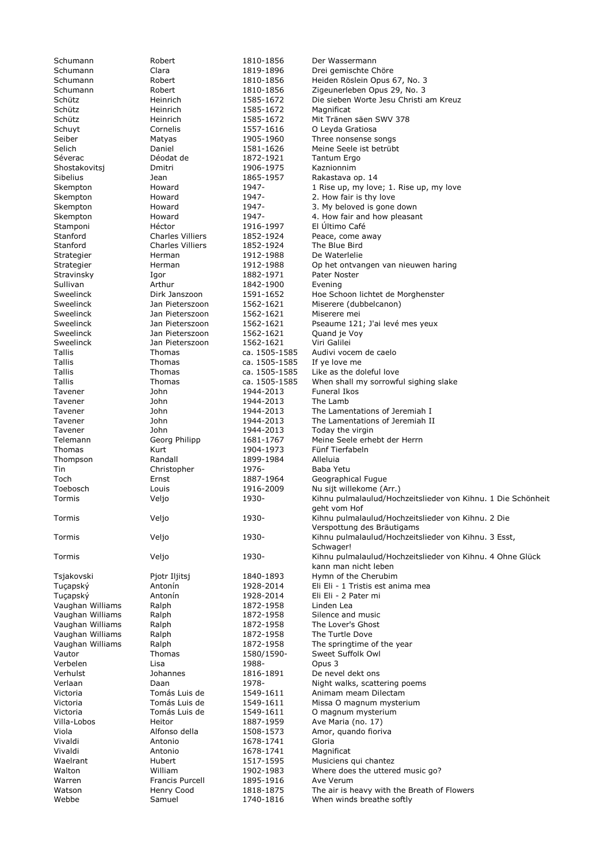Schütz Heinrich 1585-1672 Magnificat Séverac **Déodat de 1872-1921** Tantum Ergo Shostakovitsj Dmitri 1906-1975 Kaznionnim Stamponi Héctor 1916-1997 El Último Café Stanford Charles Villiers 1852-1924 The Blue Bird Strategier **Herman** 1912-1988 De Waterlelie Stravinsky Igor 1882-1971 Pater Noster Sweelinck Jan Pieterszoon 1562-1621 Miserere mei Sweelinck Jan Pieterszoon 1562-1621 Quand je Voy<br>Sweelinck Jan Pieterszoon 1562-1621 Viri Galilei Jan Pieterszoon Tallis Thomas ca. 1505-1585 If ye love me<br>Tallis Thomas ca. 1505-1585 Like as the d Tavener John 1944-2013 Funeral Ikos Tavener John 1944-2013 The Lamb Tavener 1944-2013 Today the virgin Thomas Kurt 1904-1973 Fünf Tierfabeln Thompson Randall 1899-1984 Alleluia Tin Christopher 1976- Baba Yetu Vaughan Williams Ralph 1872-1958 Linden Lea Vaughan Williams 1872-1958<br>
Vaughan Williams 1872-1958 Ralph 1872-1958 Verbelen Lisa 1988- Opus 3 Vivaldi Antonio 1678-1741 Gloria Vivaldi Antonio 1678-1741 Magnificat Francis Purcell 1895-1916 Ave Verum

1842-1900 Evening Webbe 30 Samuel 1740-1816 When winds breathe softly

Schumann Robert 1810-1856 Der Wassermann Schumann Clara 1819-1896 Drei gemischte Chöre Schumann Robert 1810-1856 Heiden Röslein Opus 67, No. 3 Schumann Robert 1810-1856 Zigeunerleben Opus 29, No. 3 Schütz Heinrich 1585-1672 Die sieben Worte Jesu Christi am Kreuz Schütz Heinrich 1585-1672 Mit Tränen säen SWV 378 Schuyt Cornelis 1557-1616 O Leyda Gratiosa Seiber **Matyas** Matyas 1905-1960 Three nonsense songs Selich Daniel 1581-1626 Meine Seele ist betrübt Sibelius **1865-1957** Rakastava op. 14 Skempton Howard 1947- 1 Rise up, my love; 1. Rise up, my love Skempton Howard 1947- 2. How fair is thy love<br>Skempton Howard 1947- 3. My beloved is gone 3. My beloved is gone down Skempton Howard 1947- 4. How fair and how pleasant Charles Villiers 1852-1924 Peace, come away Strategier Herman 1912-1988 Op het ontvangen van nieuwen haring Sweelinck **Dirk Janszoon** 1591-1652 Hoe Schoon lichtet de Morghenster Sweelinck **Jan Pieterszoon** 1562-1621 Miserere (dubbelcanon) Sweelinck Jan Pieterszoon 1562-1621 Pseaume 121; J'ai levé mes yeux Tallis Thomas ca. 1505-1585 Audivi vocem de caelo Tallis Thomas Ca. 1505-1585 Like as the doleful love Tallis Thomas ca. 1505-1585 When shall my sorrowful sighing slake Tavener 1944-2013 The Lamentations of Jeremiah I<br>Tavener 1944-2013 The Lamentations of Jeremiah I The Lamentations of Jeremiah II Telemann Georg Philipp 1681-1767 Meine Seele erhebt der Herrn Toch Ernst 1887-1964 Geographical Fugue Toebosch Louis 1916-2009 Nu sijt willekome (Arr.) Tormis Veljo 1930- Kihnu pulmalaulud/Hochzeitslieder von Kihnu. 1 Die Schönheit geht vom Hof Tormis Veljo 1930- Kihnu pulmalaulud/Hochzeitslieder von Kihnu. 2 Die Verspottung des Bräutigams Tormis Veljo 1930- Kihnu pulmalaulud/Hochzeitslieder von Kihnu. 3 Esst, Schwager! Tormis Veljo 1930- Kihnu pulmalaulud/Hochzeitslieder von Kihnu. 4 Ohne Glück kann man nicht leben Tsjakovski Pjotr Iljitsj 1840-1893 Hymn of the Cherubim Tuçapský **Antonín** 1928-2014 Eli Eli - 1 Tristis est anima mea Tuçapský Antonín 1928-2014 Eli Eli - 2 Pater mi Vaughan Williams Ralph 1872-1958 Silence and music Vaughan Williams Ralph 1872-1958 The Lover's Ghost<br>
Vaughan Williams Ralph 1872-1958 The Turtle Dove The springtime of the year Vautor Thomas 1580/1590- Sweet Suffolk Owl Verhulst Johannes 1816-1891 De nevel dekt ons Verlaan 1978- Night walks, scattering poems Victoria Tomás Luis de 1549-1611 Animam meam Dilectam Victoria Tomás Luis de 1549-1611 Missa O magnum mysterium Victoria Tomás Luis de 1549-1611 O magnum mysterium Heitor 1887-1959 Ave Maria (no. 17) Viola Alfonso della 1508-1573 Amor, quando fioriva Waelrant Hubert 1517-1595 Musiciens qui chantez Walton William 1902-1983 Where does the uttered music go? Watson **Henry Cood** 1818-1875 The air is heavy with the Breath of Flowers